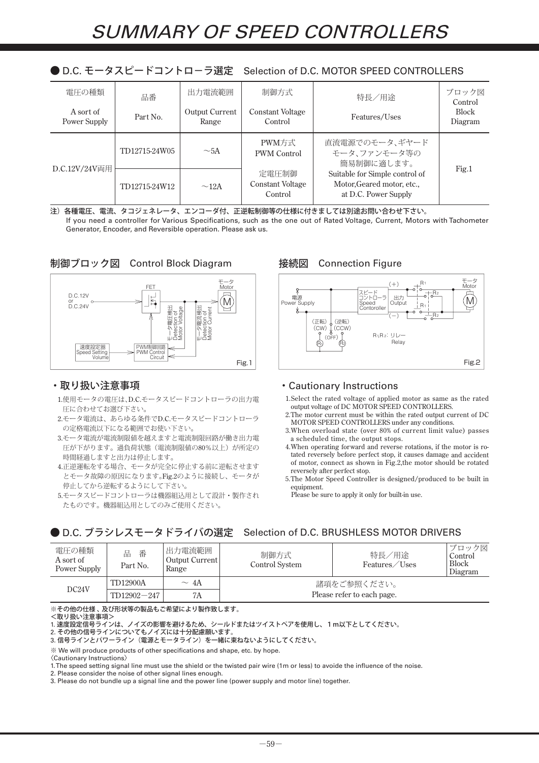|       |    |        |      | ● D.C. L->ヘL-IコノTロ=ノ迭足-3860000 0LD.C. MUTUN SEED CONTINULLENS |    |
|-------|----|--------|------|---------------------------------------------------------------|----|
| 電圧の種類 | 品番 | 出力電流範囲 | 制御方式 | 特長<br>用涂                                                      | ク図 |

● D.C. モータスピードコントロ-ラ選定 Selection of D.C. MOTOR SPEED CONTROLLERS

| 龍川 の理銀 <br>A sort of<br>Power Supply | 品番<br>Part No.              | 出刀竜流軋囲<br><b>Output Current</b><br>Range | 制御力式<br><b>Constant Voltage</b><br>Control  | 特長/用途<br>Features/Uses                                                               | ノロック図<br>Control<br><b>Block</b><br>Diagram |
|--------------------------------------|-----------------------------|------------------------------------------|---------------------------------------------|--------------------------------------------------------------------------------------|---------------------------------------------|
| D.C.12V/24V両用                        | TD12715-24W05               | $\sim$ 5A                                | PWM方式<br><b>PWM</b> Control                 | 直流電源でのモータ、ギヤード<br>モータ、ファンモータ等の<br>簡易制御に適します。                                         | Fig.1                                       |
|                                      | TD12715-24W12<br>$\sim$ 12A |                                          | 定電圧制御<br><b>Constant Voltage</b><br>Control | Suitable for Simple control of<br>Motor, Geared motor, etc.,<br>at D.C. Power Supply |                                             |

注)各種電圧、電流、タコジェネレータ、エンコーダ付、正逆転制御等の仕様に付きましては別途お問い合わせ下さい。 If you need a controller for Various Specifications, such as the one out of Rated Voltage, Current, Motors with Tachometer Generator, Encoder, and Reversible operation. Please ask us.





### ・取り扱い注意事項

- 1. 使用モータの電圧は、D.C.モータスピードコントローラの出力電 圧に合わせてお選び下さい。
- 2. モータ電流は、あらゆる条件でD.C.モータスピードコントローラ の定格電流以下になる範囲でお使い下さい。
- 3. モータ電流が電流制限値を越えますと電流制限回路が働き出力電 圧が下がります。過負荷状態(電流制限値の80%以上)が所定の 時間経過しますと出力は停止します。
- 4. 正逆運転をする場合、モータが完全に停止する前に逆転させます とモータ故障の原因になります。Fig.2のように接続し、モータが 停止してから逆転するようにして下さい。
- 5. モータスピードコントローラは機器組込用として設計・製作され たものです。機器組込用としてのみご使用ください。

## 接続図 Connection Figure



#### ・Cautionary Instructions

- 1. Select the rated voltage of applied motor as same as the rated output voltage of DC MOTOR SPEED CONTROLLERS.
- 2. The motor current must be within the rated output current of DC MOTOR SPEED CONTROLLERS under any conditions.
- 3. When overload state (over 80% of current limit value) passes a scheduled time, the output stops.
- 4. When operating forward and reverse rotations, if the motor is rotated reversely before perfect stop, it causes damage and accident of motor, connect as shown in Fig.2,the motor should be rotated reversely after perfect stop.
- 5. The Motor Speed Controller is designed/produced to be built in equipment.

Please be sure to apply it only for built-in use.

## ● D.C. ブラシレスモータドライバの選定 Selection of D.C. BRUSHLESS MOTOR DRIVERS

| 電圧の種類<br>A sort of<br>Power Supply | 番<br>品<br>Part No. | 出力電流範囲<br>Output Current<br>Range | 制御方式<br>Control System     | 特長/用途<br>Features/Uses | ブロック図<br>Control<br><b>Block</b><br>Diagram |
|------------------------------------|--------------------|-----------------------------------|----------------------------|------------------------|---------------------------------------------|
| DC24V                              | TD12900A           | $\sim 4A$                         | 諸項をご参照ください。                |                        |                                             |
|                                    | $TD12902 - 247$    | 7A                                | Please refer to each page. |                        |                                             |

※その他の仕様 、 及び形状等の製品もご希望により製作致します。

<取り扱い注意事項>

1. 速度設定信号ラインは、ノイズの影響を避けるため、シールドまたはツイストペアを使用し、1m以下としてください。

2. その他の信号ラインについてもノイズには十分配慮願います。

3. 信号ラインとパワーライン(電源とモータライン)を一緒に束ねないようにしてください。

※ We will produce products of other specifications and shape, etc. by hope.

1. The speed setting signal line must use the shield or the twisted pair wire (1m or less) to avoide the influence of the noise.

2. Please consider the noise of other signal lines enough.

3. Please do not bundle up a signal line and the power line (power supply and motor line) together.

<sup>〈</sup>Cautionary Instructions〉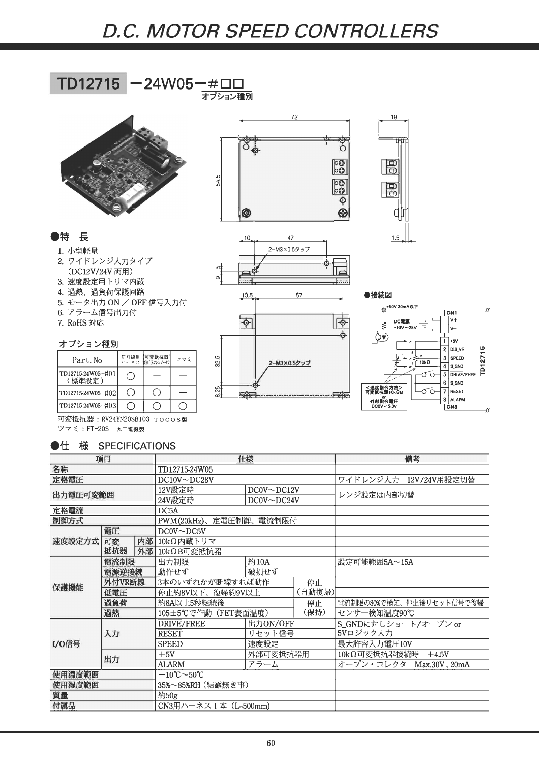## D.C. MOTOR SPEED CONTROLLERS